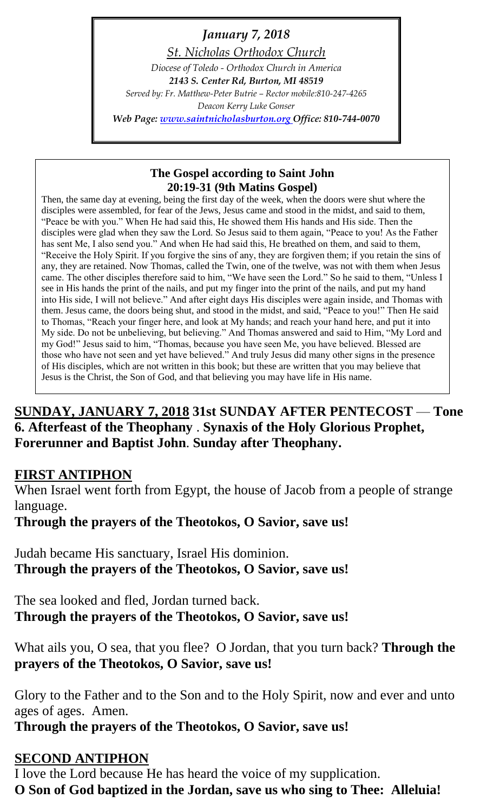*January 7, 2018 St. Nicholas Orthodox Church Diocese of Toledo - Orthodox Church in America 2143 S. Center Rd, Burton, MI 48519 Served by: Fr. Matthew-Peter Butrie – Rector mobile:810-247-4265 Deacon Kerry Luke Gonser Web Page: [www.saintnicholasburton.org](http://www.saintnicholasburton.org/) Office: 810-744-0070*

### **The Gospel according to Saint John 20:19-31 (9th Matins Gospel)**

Then, the same day at evening, being the first day of the week, when the doors were shut where the disciples were assembled, for fear of the Jews, Jesus came and stood in the midst, and said to them, "Peace be with you." When He had said this, He showed them His hands and His side. Then the disciples were glad when they saw the Lord. So Jesus said to them again, "Peace to you! As the Father has sent Me, I also send you." And when He had said this, He breathed on them, and said to them, "Receive the Holy Spirit. If you forgive the sins of any, they are forgiven them; if you retain the sins of any, they are retained. Now Thomas, called the Twin, one of the twelve, was not with them when Jesus came. The other disciples therefore said to him, "We have seen the Lord." So he said to them, "Unless I see in His hands the print of the nails, and put my finger into the print of the nails, and put my hand into His side, I will not believe." And after eight days His disciples were again inside, and Thomas with them. Jesus came, the doors being shut, and stood in the midst, and said, "Peace to you!" Then He said to Thomas, "Reach your finger here, and look at My hands; and reach your hand here, and put it into My side. Do not be unbelieving, but believing." And Thomas answered and said to Him, "My Lord and my God!" Jesus said to him, "Thomas, because you have seen Me, you have believed. Blessed are those who have not seen and yet have believed." And truly Jesus did many other signs in the presence of His disciples, which are not written in this book; but these are written that you may believe that Jesus is the Christ, the Son of God, and that believing you may have life in His name.

## **SUNDAY, JANUARY 7, 2018 31st SUNDAY AFTER PENTECOST** — **Tone 6. Afterfeast of the Theophany** . **Synaxis of the Holy Glorious Prophet, Forerunner and Baptist John**. **Sunday after Theophany.**

## **FIRST ANTIPHON**

When Israel went forth from Egypt, the house of Jacob from a people of strange language.

**Through the prayers of the Theotokos, O Savior, save us!**

Judah became His sanctuary, Israel His dominion. **Through the prayers of the Theotokos, O Savior, save us!**

The sea looked and fled, Jordan turned back. **Through the prayers of the Theotokos, O Savior, save us!**

What ails you, O sea, that you flee? O Jordan, that you turn back? **Through the prayers of the Theotokos, O Savior, save us!**

Glory to the Father and to the Son and to the Holy Spirit, now and ever and unto ages of ages. Amen.

**Through the prayers of the Theotokos, O Savior, save us!**

## **SECOND ANTIPHON**

I love the Lord because He has heard the voice of my supplication. **O Son of God baptized in the Jordan, save us who sing to Thee: Alleluia!**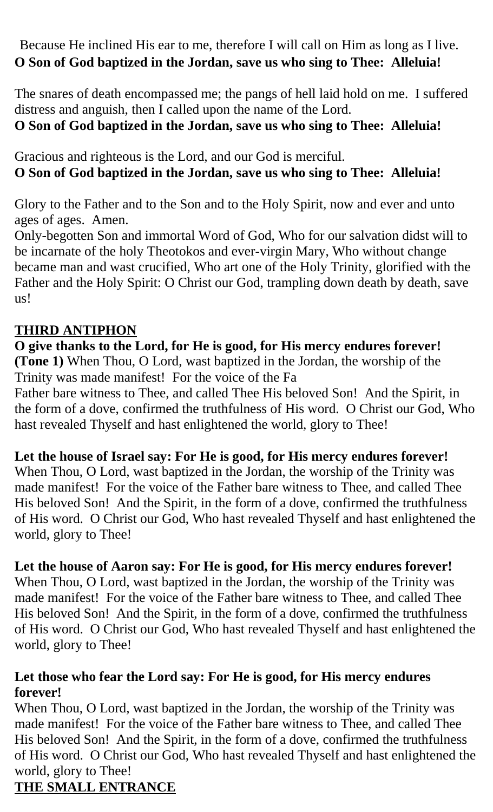Because He inclined His ear to me, therefore I will call on Him as long as I live. **O Son of God baptized in the Jordan, save us who sing to Thee: Alleluia!**

The snares of death encompassed me; the pangs of hell laid hold on me. I suffered distress and anguish, then I called upon the name of the Lord.

# **O Son of God baptized in the Jordan, save us who sing to Thee: Alleluia!**

Gracious and righteous is the Lord, and our God is merciful. **O Son of God baptized in the Jordan, save us who sing to Thee: Alleluia!**

Glory to the Father and to the Son and to the Holy Spirit, now and ever and unto ages of ages. Amen.

Only-begotten Son and immortal Word of God, Who for our salvation didst will to be incarnate of the holy Theotokos and ever-virgin Mary, Who without change became man and wast crucified, Who art one of the Holy Trinity, glorified with the Father and the Holy Spirit: O Christ our God, trampling down death by death, save us!

## **THIRD ANTIPHON**

## **O give thanks to the Lord, for He is good, for His mercy endures forever! (Tone 1)** When Thou, O Lord, wast baptized in the Jordan, the worship of the Trinity was made manifest! For the voice of the Fa

Father bare witness to Thee, and called Thee His beloved Son! And the Spirit, in the form of a dove, confirmed the truthfulness of His word. O Christ our God, Who hast revealed Thyself and hast enlightened the world, glory to Thee!

## **Let the house of Israel say: For He is good, for His mercy endures forever!**

When Thou, O Lord, wast baptized in the Jordan, the worship of the Trinity was made manifest! For the voice of the Father bare witness to Thee, and called Thee His beloved Son! And the Spirit, in the form of a dove, confirmed the truthfulness of His word. O Christ our God, Who hast revealed Thyself and hast enlightened the world, glory to Thee!

## **Let the house of Aaron say: For He is good, for His mercy endures forever!**

When Thou, O Lord, wast baptized in the Jordan, the worship of the Trinity was made manifest! For the voice of the Father bare witness to Thee, and called Thee His beloved Son! And the Spirit, in the form of a dove, confirmed the truthfulness of His word. O Christ our God, Who hast revealed Thyself and hast enlightened the world, glory to Thee!

## **Let those who fear the Lord say: For He is good, for His mercy endures forever!**

When Thou, O Lord, wast baptized in the Jordan, the worship of the Trinity was made manifest! For the voice of the Father bare witness to Thee, and called Thee His beloved Son! And the Spirit, in the form of a dove, confirmed the truthfulness of His word. O Christ our God, Who hast revealed Thyself and hast enlightened the world, glory to Thee!

## **THE SMALL ENTRANCE**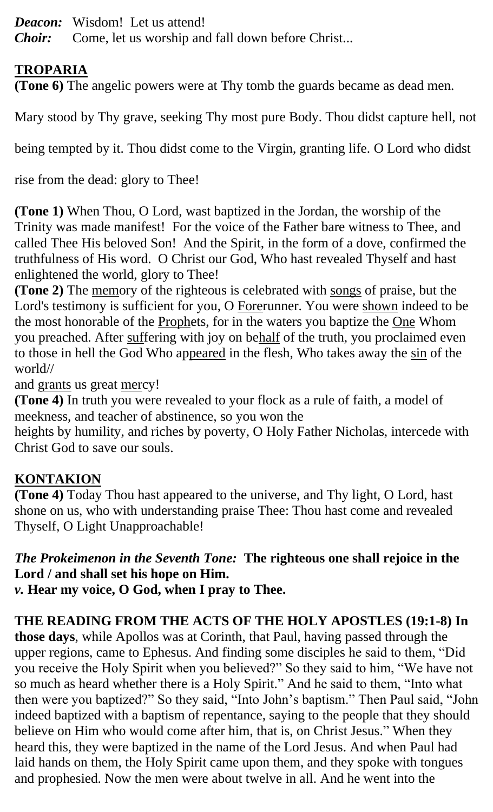- *Deacon:* Wisdom! Let us attend!
- *Choir:* Come, let us worship and fall down before Christ...

## **TROPARIA**

**(Tone 6)** The angelic powers were at Thy tomb the guards became as dead men.

Mary stood by Thy grave, seeking Thy most pure Body. Thou didst capture hell, not

being tempted by it. Thou didst come to the Virgin, granting life. O Lord who didst

rise from the dead: glory to Thee!

**(Tone 1)** When Thou, O Lord, wast baptized in the Jordan, the worship of the Trinity was made manifest! For the voice of the Father bare witness to Thee, and called Thee His beloved Son! And the Spirit, in the form of a dove, confirmed the truthfulness of His word. O Christ our God, Who hast revealed Thyself and hast enlightened the world, glory to Thee!

**(Tone 2)** The memory of the righteous is celebrated with songs of praise, but the Lord's testimony is sufficient for you, O Forerunner. You were shown indeed to be the most honorable of the Prophets, for in the waters you baptize the One Whom you preached. After suffering with joy on behalf of the truth, you proclaimed even to those in hell the God Who appeared in the flesh, Who takes away the sin of the world//

and grants us great mercy!

**(Tone 4)** In truth you were revealed to your flock as a rule of faith, a model of meekness, and teacher of abstinence, so you won the

heights by humility, and riches by poverty, O Holy Father Nicholas, intercede with Christ God to save our souls.

## **KONTAKION**

**(Tone 4)** Today Thou hast appeared to the universe, and Thy light, O Lord, hast shone on us, who with understanding praise Thee: Thou hast come and revealed Thyself, O Light Unapproachable!

# *The Prokeimenon in the Seventh Tone:* **The righteous one shall rejoice in the Lord / and shall set his hope on Him.**

*v.* **Hear my voice, O God, when I pray to Thee.**

## **THE READING FROM THE ACTS OF THE HOLY APOSTLES (19:1-8) In**

**those days**, while Apollos was at Corinth, that Paul, having passed through the upper regions, came to Ephesus. And finding some disciples he said to them, "Did you receive the Holy Spirit when you believed?" So they said to him, "We have not so much as heard whether there is a Holy Spirit." And he said to them, "Into what then were you baptized?" So they said, "Into John's baptism." Then Paul said, "John indeed baptized with a baptism of repentance, saying to the people that they should believe on Him who would come after him, that is, on Christ Jesus." When they heard this, they were baptized in the name of the Lord Jesus. And when Paul had laid hands on them, the Holy Spirit came upon them, and they spoke with tongues and prophesied. Now the men were about twelve in all. And he went into the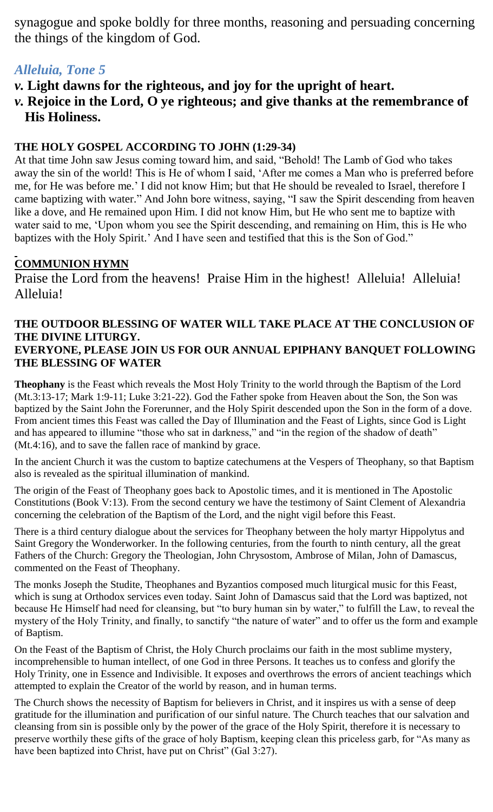synagogue and spoke boldly for three months, reasoning and persuading concerning the things of the kingdom of God.

## *Alleluia, Tone 5*

- *v.* **Light dawns for the righteous, and joy for the upright of heart.**
- *v.* **Rejoice in the Lord, O ye righteous; and give thanks at the remembrance of His Holiness.**

### **THE HOLY GOSPEL ACCORDING TO JOHN (1:29-34)**

At that time John saw Jesus coming toward him, and said, "Behold! The Lamb of God who takes away the sin of the world! This is He of whom I said, 'After me comes a Man who is preferred before me, for He was before me.' I did not know Him; but that He should be revealed to Israel, therefore I came baptizing with water." And John bore witness, saying, "I saw the Spirit descending from heaven like a dove, and He remained upon Him. I did not know Him, but He who sent me to baptize with water said to me, 'Upon whom you see the Spirit descending, and remaining on Him, this is He who baptizes with the Holy Spirit.' And I have seen and testified that this is the Son of God."

### **COMMUNION HYMN**

Praise the Lord from the heavens! Praise Him in the highest! Alleluia! Alleluia! Alleluia!

### **THE OUTDOOR BLESSING OF WATER WILL TAKE PLACE AT THE CONCLUSION OF THE DIVINE LITURGY. EVERYONE, PLEASE JOIN US FOR OUR ANNUAL EPIPHANY BANQUET FOLLOWING THE BLESSING OF WATER**

**Theophany** is the Feast which reveals the Most Holy Trinity to the world through the Baptism of the Lord (Mt.3:13-17; Mark 1:9-11; Luke 3:21-22). God the Father spoke from Heaven about the Son, the Son was baptized by the Saint John the Forerunner, and the Holy Spirit descended upon the Son in the form of a dove. From ancient times this Feast was called the Day of Illumination and the Feast of Lights, since God is Light and has appeared to illumine "those who sat in darkness," and "in the region of the shadow of death" (Mt.4:16), and to save the fallen race of mankind by grace.

In the ancient Church it was the custom to baptize catechumens at the Vespers of Theophany, so that Baptism also is revealed as the spiritual illumination of mankind.

The origin of the Feast of Theophany goes back to Apostolic times, and it is mentioned in The Apostolic Constitutions (Book V:13). From the second century we have the testimony of Saint Clement of Alexandria concerning the celebration of the Baptism of the Lord, and the night vigil before this Feast.

There is a third century dialogue about the services for Theophany between the holy martyr Hippolytus and Saint Gregory the Wonderworker. In the following centuries, from the fourth to ninth century, all the great Fathers of the Church: Gregory the Theologian, John Chrysostom, Ambrose of Milan, John of Damascus, commented on the Feast of Theophany.

The monks Joseph the Studite, Theophanes and Byzantios composed much liturgical music for this Feast, which is sung at Orthodox services even today. Saint John of Damascus said that the Lord was baptized, not because He Himself had need for cleansing, but "to bury human sin by water," to fulfill the Law, to reveal the mystery of the Holy Trinity, and finally, to sanctify "the nature of water" and to offer us the form and example of Baptism.

On the Feast of the Baptism of Christ, the Holy Church proclaims our faith in the most sublime mystery, incomprehensible to human intellect, of one God in three Persons. It teaches us to confess and glorify the Holy Trinity, one in Essence and Indivisible. It exposes and overthrows the errors of ancient teachings which attempted to explain the Creator of the world by reason, and in human terms.

The Church shows the necessity of Baptism for believers in Christ, and it inspires us with a sense of deep gratitude for the illumination and purification of our sinful nature. The Church teaches that our salvation and cleansing from sin is possible only by the power of the grace of the Holy Spirit, therefore it is necessary to preserve worthily these gifts of the grace of holy Baptism, keeping clean this priceless garb, for "As many as have been baptized into Christ, have put on Christ" (Gal 3:27).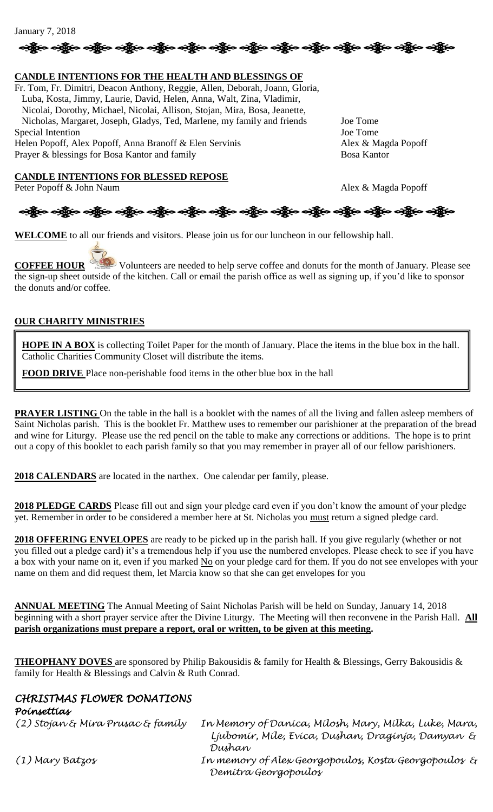#### January 7, 2018



#### **CANDLE INTENTIONS FOR THE HEALTH AND BLESSINGS OF**

Fr. Tom, Fr. Dimitri, Deacon Anthony, Reggie, Allen, Deborah, Joann, Gloria, Luba, Kosta, Jimmy, Laurie, David, Helen, Anna, Walt, Zina, Vladimir, Nicolai, Dorothy, Michael, Nicolai, Allison, Stojan, Mira, Bosa, Jeanette, Nicholas, Margaret, Joseph, Gladys, Ted, Marlene, my family and friends Joe Tome Special Intention Joe Tome Helen Popoff, Alex Popoff, Anna Branoff & Elen Servinis Alex & Magda Popoff Prayer & blessings for Bosa Kantor and family Bosa Kantor Bosa Kantor

**CANDLE INTENTIONS FOR BLESSED REPOSE** Peter Popoff & John Naum Alex & Magda Popoff



**WELCOME** to all our friends and visitors. Please join us for our luncheon in our fellowship hall.

**COFFEE HOUR** Volunteers are needed to help serve coffee and donuts for the month of January. Please see the sign-up sheet outside of the kitchen. Call or email the parish office as well as signing up, if you'd like to sponsor the donuts and/or coffee.

#### **OUR CHARITY MINISTRIES**

**HOPE IN A BOX** is collecting Toilet Paper for the month of January. Place the items in the blue box in the hall. Catholic Charities Community Closet will distribute the items.

**FOOD DRIVE** Place non-perishable food items in the other blue box in the hall

**PRAYER LISTING** On the table in the hall is a booklet with the names of all the living and fallen asleep members of Saint Nicholas parish. This is the booklet Fr. Matthew uses to remember our parishioner at the preparation of the bread and wine for Liturgy. Please use the red pencil on the table to make any corrections or additions. The hope is to print out a copy of this booklet to each parish family so that you may remember in prayer all of our fellow parishioners.

**2018 CALENDARS** are located in the narthex. One calendar per family, please.

**2018 PLEDGE CARDS** Please fill out and sign your pledge card even if you don't know the amount of your pledge yet. Remember in order to be considered a member here at St. Nicholas you must return a signed pledge card.

**2018 OFFERING ENVELOPES** are ready to be picked up in the parish hall. If you give regularly (whether or not you filled out a pledge card) it's a tremendous help if you use the numbered envelopes. Please check to see if you have a box with your name on it, even if you marked No on your pledge card for them. If you do not see envelopes with your name on them and did request them, let Marcia know so that she can get envelopes for you

**ANNUAL MEETING** The Annual Meeting of Saint Nicholas Parish will be held on Sunday, January 14, 2018 beginning with a short prayer service after the Divine Liturgy. The Meeting will then reconvene in the Parish Hall. **All parish organizations must prepare a report, oral or written, to be given at this meeting.**

**THEOPHANY DOVES** are sponsored by Philip Bakousidis & family for Health & Blessings, Gerry Bakousidis & family for Health & Blessings and Calvin & Ruth Conrad.

#### *CHRISTMAS FLOWER DONATIONS Poinsettias*

*(2) Stojan & Mira Prusac & family In Memory of Danica, Milosh, Mary, Milka, Luke, Mara, Ljubomir, Mile, Evica, Dushan, Draginja, Damyan & Dushan (1) Mary Batzos In memory of Alex Georgopoulos, Kosta Georgopoulos & Demitra Georgopoulos*